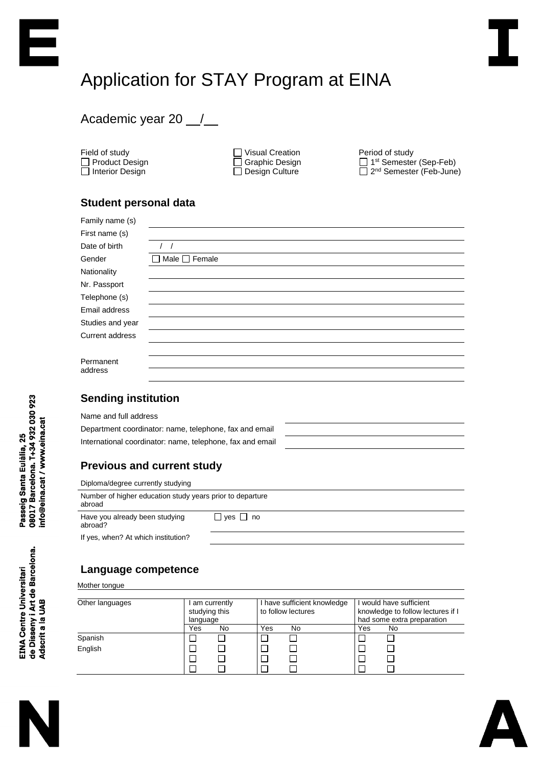# Application for STAY Program at EINA

## Academic year 20 \_/\_

Field of study □ Product Design □ Interior Design

□ Visual Creation □ Graphic Design Design Culture

Period of study 1st Semester (Sep-Feb) 2<sup>nd</sup> Semester (Feb-June)

## **Student personal data**

| Family name (s)        |                    |
|------------------------|--------------------|
| First name (s)         |                    |
| Date of birth          |                    |
| Gender                 | Male $\Box$ Female |
| Nationality            |                    |
| Nr. Passport           |                    |
| Telephone (s)          |                    |
| Email address          |                    |
| Studies and year       |                    |
| <b>Current address</b> |                    |
|                        |                    |
| Permanent<br>address   |                    |
|                        |                    |

## **Sending institution**

Name and full address

Department coordinator: name, telephone, fax and email International coordinator: name, telephone, fax and email

## **Previous and current study**

| Diploma/degree currently studying                                   |                      |  |  |  |  |  |
|---------------------------------------------------------------------|----------------------|--|--|--|--|--|
| Number of higher education study years prior to departure<br>abroad |                      |  |  |  |  |  |
| Have you already been studying<br>abroad?                           | $\Box$ yes $\Box$ no |  |  |  |  |  |
| If yes, when? At which institution?                                 |                      |  |  |  |  |  |

## **Language competence**

Mother tongue

| Other languages | am currently<br>studying this<br>language |    |     | I have sufficient knowledge<br>to follow lectures |     | would have sufficient<br>knowledge to follow lectures if I<br>had some extra preparation |  |
|-----------------|-------------------------------------------|----|-----|---------------------------------------------------|-----|------------------------------------------------------------------------------------------|--|
|                 | Yes                                       | No | Yes | No                                                | Yes | No                                                                                       |  |
| Spanish         |                                           |    |     |                                                   |     |                                                                                          |  |
| English         |                                           |    |     |                                                   |     |                                                                                          |  |
|                 |                                           |    |     |                                                   |     |                                                                                          |  |
|                 |                                           |    |     |                                                   |     |                                                                                          |  |